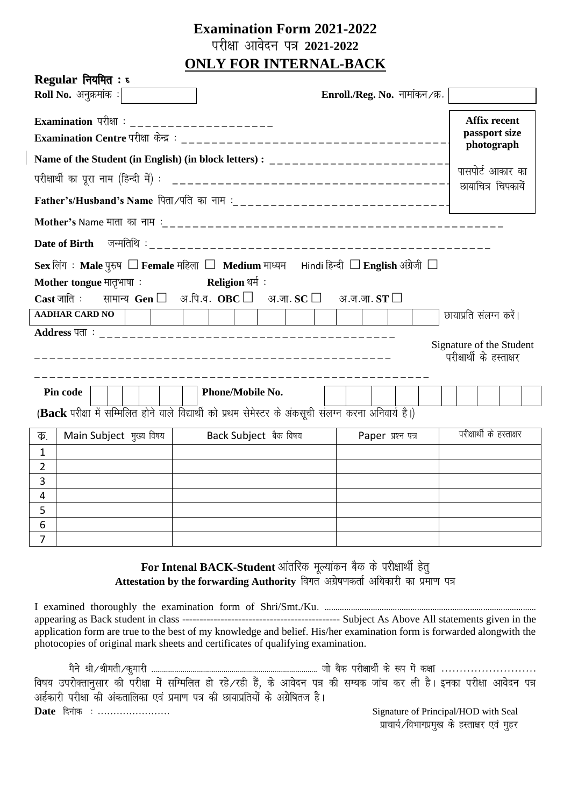# **Examination Form 2021-2022** परीक्षा आवेदन पत्र 2021-2022 **ONLY FOR INTERNAL-BACK**

| $\textbf{Regular}$ नियमित : ह                                                                                                              |                         |  |                                |                   |  |  |                          |                                                    |  |  |
|--------------------------------------------------------------------------------------------------------------------------------------------|-------------------------|--|--------------------------------|-------------------|--|--|--------------------------|----------------------------------------------------|--|--|
| <b>Roll No.</b> अनुक्रमांक :                                                                                                               |                         |  | Enroll./Reg. No. नामांकन /क्र. |                   |  |  |                          |                                                    |  |  |
| Examination परीक्षा : _____________________                                                                                                |                         |  |                                |                   |  |  |                          | <b>Affix recent</b><br>passport size<br>photograph |  |  |
|                                                                                                                                            |                         |  |                                |                   |  |  |                          |                                                    |  |  |
|                                                                                                                                            |                         |  |                                |                   |  |  |                          | पासपोर्ट आकार का                                   |  |  |
|                                                                                                                                            |                         |  |                                |                   |  |  |                          | छायाचित्र चिपकायें                                 |  |  |
|                                                                                                                                            |                         |  |                                |                   |  |  |                          |                                                    |  |  |
|                                                                                                                                            |                         |  |                                |                   |  |  |                          |                                                    |  |  |
| Sex लिंग: Male पुरुष □ Female महिला □ Medium माध्यम सांndi हिन्दी □ English अंग्रेजी □                                                     |                         |  |                                |                   |  |  |                          |                                                    |  |  |
| Mother tongue मातृभाषा:                                                                                                                    | Religion धर्म  :        |  |                                |                   |  |  |                          |                                                    |  |  |
| $\textbf{Cast}$ जाति : सामान्य $\textbf{Gen} \ \Box$ अ.पि.व. $\textbf{OBC} \ \Box$ अ.जा. $\textbf{SC} \ \Box$ अ.ज.जा. $\textbf{ST} \ \Box$ |                         |  |                                |                   |  |  |                          |                                                    |  |  |
| <b>AADHAR CARD NO</b>                                                                                                                      |                         |  |                                |                   |  |  | छायाप्रति संलग्न करें।   |                                                    |  |  |
| Signature of the Student<br>परीक्षार्थी के हस्ताक्षर                                                                                       |                         |  |                                |                   |  |  |                          |                                                    |  |  |
| Pin code                                                                                                                                   | <b>Phone/Mobile No.</b> |  |                                |                   |  |  |                          |                                                    |  |  |
| (Back परीक्षा में सम्मिलित होने वाले विद्यार्थी को प्रथम सेमेस्टर के अंकसूची संलग्न करना अनिवार्य है।)                                     |                         |  |                                |                   |  |  |                          |                                                    |  |  |
| Back Subject बैंक विषय<br>Main Subject मुख्य विषय  <br>Ф.                                                                                  |                         |  |                                | Paper प्रश्न पत्र |  |  | परीक्षार्थी के हस्ताक्षर |                                                    |  |  |
| $\mathbf{1}$                                                                                                                               |                         |  |                                |                   |  |  |                          |                                                    |  |  |
| $\overline{2}$                                                                                                                             |                         |  |                                |                   |  |  |                          |                                                    |  |  |
| 3                                                                                                                                          |                         |  |                                |                   |  |  |                          |                                                    |  |  |
| 4                                                                                                                                          |                         |  |                                |                   |  |  |                          |                                                    |  |  |
| 5                                                                                                                                          |                         |  |                                |                   |  |  |                          |                                                    |  |  |
| 6<br>$\overline{\phantom{a}}$                                                                                                              |                         |  |                                |                   |  |  |                          |                                                    |  |  |

## For Intenal BACK-Student आंतरिक मूल्यांकन बैक के परीक्षार्थी हेतु Attestation by the forwarding Authority विगत अग्रेषणकर्ता अधिकारी का प्रमाण पत्र

application form are true to the best of my knowledge and belief. His/her examination form is forwarded alongwith the photocopies of original mark sheets and certificates of qualifying examination.

विषय उपरोक्तानुसार की परीक्षा में सम्मिलित हो रहे∕रही हैं, के आवेदन पत्र की सम्यक जांच कर ली है। इनका परीक्षा आवेदन पत्र अर्हकारी परीक्षा की अंकतालिका एवं प्रमाण पत्र की छायाप्रतियों के अग्रेषितज है। Date दिनांक : ........................ Signature of Principal/HOD with Seal

प्राचार्य ∕विभागप्रमुख के हस्ताक्षर एवं मुहर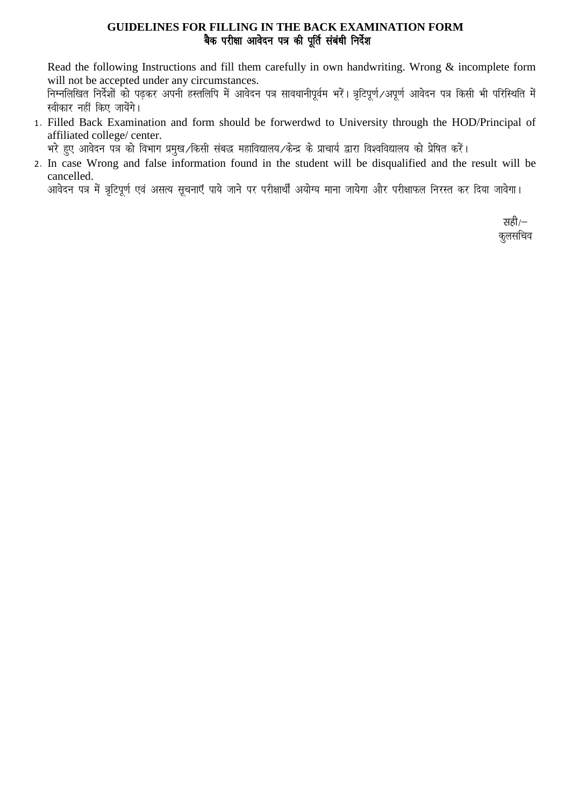#### **GUIDELINES FOR FILLING IN THE BACK EXAMINATION FORM** बैक परीक्षा आवेदन पत्र की पूर्ति संबंधी निर्देश

Read the following Instructions and fill them carefully in own handwriting. Wrong  $\&$  incomplete form will not be accepted under any circumstances.

निम्नलिखित निर्देशों को पढ़कर अपनी हस्तलिपि में आवेदन पत्र सावधानीपूर्वम भरें। त्रृटिपूर्ण ⁄अपूर्ण आवेदन पत्र किसी भी परिस्थिति में स्वीकार नहीं किए जायेंगे।

1. Filled Back Examination and form should be forwerdwd to University through the HOD/Principal of affiliated college/ center.

भरे हुए आवेदन पत्र को विभाग प्रमुख ∕किसी संबद्ध महाविद्यालय ∕केन्द्र के प्राचार्य द्वारा विश्वविद्यालय को प्रेषित करें।

2. In case Wrong and false information found in the student will be disqualified and the result will be cancelled.

आवेदन पत्र में त्रटिपूर्ण एवं असत्य सूचनाएँ पाये जाने पर परीक्षार्थीं अयोग्य माना जायेगा और परीक्षाफल निरस्त कर दिया जावेगा।

सही $/$ कूलसचिव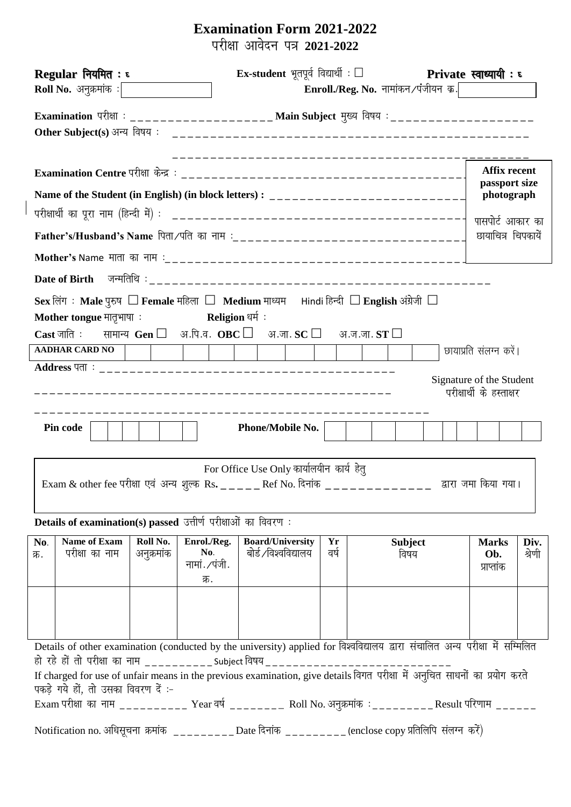# **Examination Form 2021-2022** ijh{kk vkosnu i= **2021-2022**

| Ex-student भूतपूर्व विद्यार्थी : $\square$ Private स्वाध्यायी : ह<br>Regular नियमित: ६                                                                     |                                                      |  |  |  |  |
|------------------------------------------------------------------------------------------------------------------------------------------------------------|------------------------------------------------------|--|--|--|--|
| Enroll./Reg. No. नामांकन $\angle$ पंजीयन क्र $\frac{1}{2}$<br><b>Roll No.</b> अनुक्रमांक $:$                                                               |                                                      |  |  |  |  |
| Examination परीक्षा : ___________________ Main Subject मुख्य विषय : ___________________                                                                    |                                                      |  |  |  |  |
|                                                                                                                                                            | <b>Affix recent</b><br>passport size                 |  |  |  |  |
| Name of the Student (in English) (in block letters): ____________________________                                                                          | photograph                                           |  |  |  |  |
|                                                                                                                                                            | पासपोर्ट आकार का                                     |  |  |  |  |
|                                                                                                                                                            | छायाचित्र चिपकायें                                   |  |  |  |  |
|                                                                                                                                                            |                                                      |  |  |  |  |
|                                                                                                                                                            |                                                      |  |  |  |  |
| Sex लिंग : Male पुरुष $\Box$ Female महिला $\Box$ Medium माध्यम सांndi हिन्दी $\Box$ English अंग्रेजी $\Box$                                                |                                                      |  |  |  |  |
| Mother tongue मातृभाषा : Religion धर्म:                                                                                                                    |                                                      |  |  |  |  |
| $\textbf{Cast}$ जाति : सामान्य $\textbf{Gen} \ \Box$ अ.पि.व. $\textbf{OBC} \ \Box$ अ.जा. $\textbf{SC} \ \Box$ अ.ज.जा. $\textbf{ST} \ \Box$                 |                                                      |  |  |  |  |
| <b>AADHAR CARD NO</b>                                                                                                                                      | छायाप्रति संलग्न करें।                               |  |  |  |  |
|                                                                                                                                                            |                                                      |  |  |  |  |
|                                                                                                                                                            | Signature of the Student<br>परीक्षार्थी के हस्ताक्षर |  |  |  |  |
|                                                                                                                                                            |                                                      |  |  |  |  |
| Pin code<br><b>Phone/Mobile No.</b>                                                                                                                        |                                                      |  |  |  |  |
|                                                                                                                                                            |                                                      |  |  |  |  |
| For Office Use Only कार्यालयीन कार्य हेतू<br>Exam & other fee परीक्षा एवं अन्य शुल्क Rs. _____ Ref No. दिनांक<br>द्वारा जमा किया गया।                      |                                                      |  |  |  |  |
| Details of examination(s) passed उत्तीर्ण परीक्षाओं का विवरण:                                                                                              |                                                      |  |  |  |  |
| <b>Name of Exam</b><br>Roll No.<br><b>Board/University</b>                                                                                                 |                                                      |  |  |  |  |
| Enrol./Reg.<br><b>Subject</b><br>Yr<br>No.<br>बोर्ड ∕विश्वविद्यालय<br>वर्ष<br>परीक्षा का नाम<br>No.<br>अनुक्रमांक<br>विषय<br>क्र.<br>नामां. ⁄पंजी.<br>क्र. | <b>Marks</b><br>Div.<br>श्रेणी<br>Ob.<br>प्राप्तांक  |  |  |  |  |
|                                                                                                                                                            |                                                      |  |  |  |  |
| Details of other examination (conducted by the university) applied for विश्वविद्यालय द्वारा संचालित अन्य परीक्षा में सम्मिलित                              |                                                      |  |  |  |  |
| हो रहे हों तो परीक्षा का नाम ___________ Subject विषय___________                                                                                           |                                                      |  |  |  |  |
| If charged for use of unfair means in the previous examination, give details विगत परीक्षा में अनुचित साधनों का प्रयोग करते                                 |                                                      |  |  |  |  |
| पकड़े गये हों, तो उसका विवरण दें :-<br>Exam परीक्षा का नाम ___________ Year वर्ष _________ Roll No. अनुक्रमांक : _________ Result परिणाम ______            |                                                      |  |  |  |  |
|                                                                                                                                                            |                                                      |  |  |  |  |
| Notification no. अधिसूचना क्रमांक _________ Date दिनांक ________ (enclose copy प्रतिलिपि संलग्न करें)                                                      |                                                      |  |  |  |  |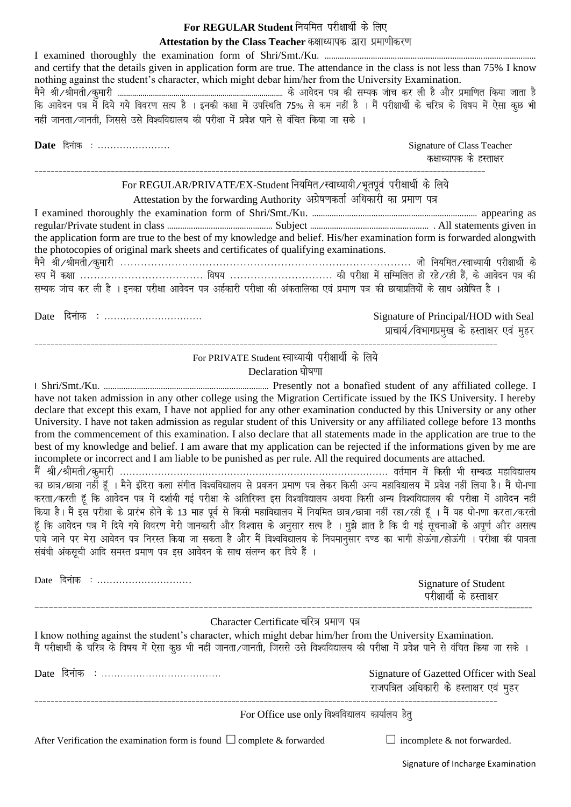#### For REGULAR Student नियमित परीक्षार्थी के लिए Attestation by the Class Teacher कक्षाध्यापक द्वारा प्रमाणीकरण

| and certify that the details given in application form are true. The attendance in the class is not less than 75% I know<br>nothing against the student's character, which might debar him/her from the University Examination.<br>कि आवेदन पत्र में दिये गये विवरण सत्य है । इनकी कक्षा में उपस्थिति 75% से कम नहीं है । मैं परीक्षार्थी के चरित्र के विषय में ऐसा कुछ भी<br>नहीं जानता ⁄ जानती, जिससे उसे विश्वविद्यालय की परीक्षा में प्रवेश पाने से वंचित किया जा सके ।                                                                                                                         |                                                                                      |
|-----------------------------------------------------------------------------------------------------------------------------------------------------------------------------------------------------------------------------------------------------------------------------------------------------------------------------------------------------------------------------------------------------------------------------------------------------------------------------------------------------------------------------------------------------------------------------------------------------|--------------------------------------------------------------------------------------|
| Date दिनांक :                                                                                                                                                                                                                                                                                                                                                                                                                                                                                                                                                                                       | Signature of Class Teacher<br>कक्षाध्यापक के हस्ताक्षर                               |
| For REGULAR/PRIVATE/EX-Student नियमित∕स्वाध्यायी∕भूतपूर्व परीक्षार्थी के लिये<br>Attestation by the forwarding Authority अग्रेषणकर्ता अधिकारी का प्रमाण पत्र<br>the application form are true to the best of my knowledge and belief. His/her examination form is forwarded alongwith<br>the photocopies of original mark sheets and certificates of qualifying examinations.<br>रूप में कक्षा  विषय  की परीक्षा में सम्मिलित हो रहे ∕रही हैं, के आवेदन पत्र की<br>सम्यक जांच कर ली है । इनका परीक्षा आवेदन पत्र अर्हकारी परीक्षा की अंकतालिका एवं प्रमाण पत्र की छायाप्रतियों के साथ अग्रेषित है । |                                                                                      |
| Date दिनांक :                                                                                                                                                                                                                                                                                                                                                                                                                                                                                                                                                                                       | Signature of Principal/HOD with Seal<br>प्राचार्य ∕विभागप्रमुख के हस्ताक्षर एवं मुहर |
| For PRIVATE Student स्वाध्यायी परीक्षार्थी के लिये<br>Declaration घोषणा                                                                                                                                                                                                                                                                                                                                                                                                                                                                                                                             |                                                                                      |

have not taken admission in any other college using the Migration Certificate issued by the IKS University. I hereby declare that except this exam, I have not applied for any other examination conducted by this University or any other University. I have not taken admission as regular student of this University or any affiliated college before 13 months from the commencement of this examination. I also declare that all statements made in the application are true to the best of my knowledge and belief. I am aware that my application can be rejected if the informations given by me are incomplete or incorrect and I am liable to be punished as per rule. All the required documents are attached. .<br>मैं श्री ∕श्रीमती ∕कुमारी ……………………………………………………………………………………… वर्तमान में किसी भी सम्बद्ध महाविद्यालय<br>का छात्र ⁄छात्रा नहीं हूँ । मैने इंदिरा कला संगीत विश्वविद्यालय से प्रवजन प्रमाण पत्र लेकर किसी अन्य महाविद्यालय में प करता ∕करती हूँ कि आवेदन पत्र में दर्शायी गई परीक्षा के अतिरिक्त इस विश्वविद्यालय अथवा किसी अन्य विश्वविद्यालय की परीक्षा में आवेदन नहीं

किया है। मैं इस परीक्षा के प्रारंभ होने के 13 माह पूर्व से किसी महाविद्यालय में नियमित छात्र∕छात्रा नहीं रहा ∕रही हूँ । मैं यह घो-ाणा करता ∕करती हूँ कि आवेदन पत्र में दिये गये विवरण मेरी जानकारी और विश्वास के अनुसार सत्य है । मुझे ज्ञात है कि दी गई सूचनाओं के अपूर्ण और असत्य ू<br>पाये जाने पर मेरा आवेदन पत्र निरस्त किया जा सकता है और मैं विश्वविद्यालय के नियमानुसार दण्ड का भागी होऊंगा ∕होऊंगी । परीक्षा की पात्रता संबंधी अंकसूची आदि समस्त प्रमाण पत्र इस आवेदन के साथ संलग्न कर दिये हैं ।

| Date दिनाक :                                                                                                                                                                                                                                                                                           | Signature of Student<br>परीक्षार्थी के हस्ताक्षर                                   |  |  |  |  |
|--------------------------------------------------------------------------------------------------------------------------------------------------------------------------------------------------------------------------------------------------------------------------------------------------------|------------------------------------------------------------------------------------|--|--|--|--|
| Character Certificate चरित्र प्रमाण पत्र<br>I know nothing against the student's character, which might debar him/her from the University Examination.<br>मैं परीक्षार्थी के चरित्र के विषय में ऐसा कुछ भी नहीं जानता∕जानती, जिससे उसे विश्वविद्यालय की परीक्षा में प्रवेश पाने से वंचित किया जा सके । |                                                                                    |  |  |  |  |
|                                                                                                                                                                                                                                                                                                        | Signature of Gazetted Officer with Seal<br>राजपत्रित अधिकारी के हस्ताक्षर एवं मुहर |  |  |  |  |
| For Office use only विश्वविद्यालय कार्यालय हेतू                                                                                                                                                                                                                                                        |                                                                                    |  |  |  |  |
| After Verification the examination form is found $\Box$ complete & forwarded                                                                                                                                                                                                                           | $\Box$ incomplete & not forwarded.                                                 |  |  |  |  |

Signature of Incharge Examination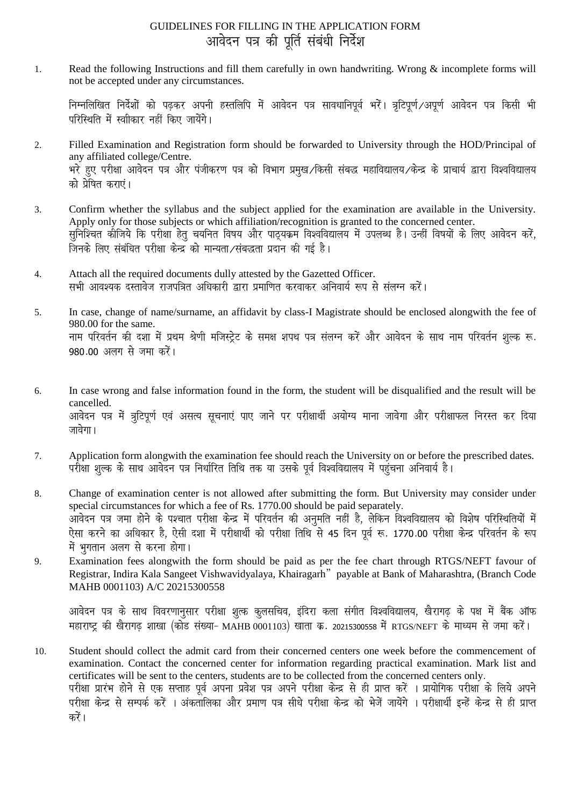### GUIDELINES FOR FILLING IN THE APPLICATION FORM आवेदन पत्र की पूर्ति संबंधी निर्देश

 $\mathbf{1}$ . Read the following Instructions and fill them carefully in own handwriting. Wrong & incomplete forms will not be accepted under any circumstances.

निम्नलिखित निर्देशों को पढ़कर अपनी हस्तलिपि में आवेदन पत्र सावधानिपूर्व भरें। त्रटिपूर्ण अपूर्ण आवेदन पत्र किसी भी परिस्थिति में स्वीकार नहीं किए जायेंगे।

- Filled Examination and Registration form should be forwarded to University through the HOD/Principal of  $\overline{2}$ . any affiliated college/Centre. भरे हुए परीक्षा आवेदन पत्र और पंजीकरण पत्र को विभाग प्रमुख ∕किसी संबद्ध महाविद्यालय ∕केन्द्र के प्राचार्य द्वारा विश्वविद्यालय को पेषित कराएं।
- Confirm whether the syllabus and the subject applied for the examination are available in the University. 3. Apply only for those subjects or which affiliation/recognition is granted to the concerned center. सुनिश्चित कीजिये कि परीक्षा हेतु चयनित विषय और पाट्यक्रम विश्वविद्यालय में उपलब्ध है। उन्हीं विषयों के लिए आवेदन करें,
- Attach all the required documents dully attested by the Gazetted Officer.  $\overline{4}$ . सभी आवश्यक दस्तावेज राजपत्रित अधिकारी द्वारा प्रमाणित करवाकर अनिवार्य रूप से संलग्न करें।
- In case, change of name/surname, an affidavit by class-I Magistrate should be enclosed alongwith the fee of 5. 980.00 for the same. नाम परिवर्तन की दशा में प्रथम श्रेणी मजिस्ट्रेट के समक्ष शपथ पत्र संलग्न करें और आवेदन के साथ नाम परिवर्तन शुल्क रू. 980.00 अलग से जमा करें।
- In case wrong and false information found in the form, the student will be disqualified and the result will be 6. cancelled. आवेदन पत्र में त्रूटिपूर्ण एवं असत्य सूचनाएं पाए जाने पर परीक्षार्थी अयोग्य माना जावेगा और परीक्षाफल निरस्त कर दिया जावेगा।
- Application form alongwith the examination fee should reach the University on or before the prescribed dates. 7. परीक्षा शूल्क के साथ आवेदन पत्र निर्धारित तिथि तक या उसके पूर्व विश्वविद्यालय में पहुंचना अनिवार्य है।
- Change of examination center is not allowed after submitting the form. But University may consider under 8. special circumstances for which a fee of Rs. 1770.00 should be paid separately. आवेदन पत्र जमा होने के पश्चात परीक्षा केन्द्र में परिवर्तन की अनुमति नहीं है, लेकिन विश्वविद्यालय को विशेष परिस्थितियों में ऐसा करने का अधिकार है, ऐसी दशा में परीक्षार्थी को परीक्षा तिथि से 45 दिन पर्व रू. 1770.00 परीक्षा केन्द्र परिवर्तन के रूप में भगतान अलग से करना होगा।
- Examination fees alongwith the form should be paid as per the fee chart through RTGS/NEFT favour of 9. Registrar, Indira Kala Sangeet Vishwavidyalaya, Khairagarh" payable at Bank of Maharashtra, (Branch Code MAHB 0001103) A/C 20215300558

आवेदन पत्र के साथ विवरणानुसार परीक्षा शुत्क कुलसचिव, इंदिरा कला संगीत विश्वविद्यालय, खैरागढ़ के पक्ष में बैंक ऑफ महाराष्ट्र की खैरागढ शाखा (कोड संख्या- MAHB 0001103) खाता क्र. 20215300558 में RTGS/NEFT के माध्यम से जमा करें।

Student should collect the admit card from their concerned centers one week before the commencement of 10. examination. Contact the concerned center for information regarding practical examination. Mark list and certificates will be sent to the centers, students are to be collected from the concerned centers only. परीक्षा प्रारंभ होने से एक सप्ताह पूर्व अपना प्रवेश पत्र अपने परीक्षा केन्द्र से ही प्राप्त करें । प्रायोगिक परीक्षा के लिये अपने परीक्षा केन्द्र से सम्पर्क करें । अंकतालिका और प्रमाण पत्र सीधे परीक्षा केन्द्र को भेजें जायेंगे । परीक्षार्थी इन्हें केन्द्र से ही प्राप्त करें ।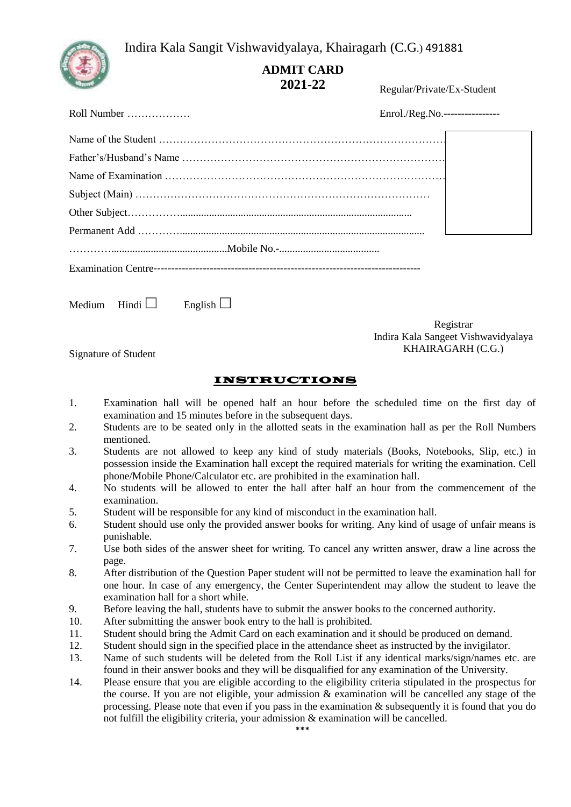2- Indira Kala Sangit Vishwavidyalaya, Khairagarh (C.G.) 491881



# **ADMIT CARD 2021-22**

Regular/Private/Ex-Student

| Roll Number $\ldots$ $\ldots$ $\ldots$ | Enrol./Reg.No.---------------- |
|----------------------------------------|--------------------------------|
|                                        |                                |
|                                        |                                |
|                                        |                                |
|                                        |                                |
|                                        |                                |
|                                        |                                |
|                                        |                                |
|                                        |                                |
| Medium Hindi $\Box$<br>English $\Box$  |                                |

Registrar Indira Kala Sangeet Vishwavidyalaya KHAIRAGARH (C.G.)

Signature of Student

#### INSTRUCTIONS

- 1. Examination hall will be opened half an hour before the scheduled time on the first day of examination and 15 minutes before in the subsequent days.
- 2. Students are to be seated only in the allotted seats in the examination hall as per the Roll Numbers mentioned.
- 3. Students are not allowed to keep any kind of study materials (Books, Notebooks, Slip, etc.) in possession inside the Examination hall except the required materials for writing the examination. Cell phone/Mobile Phone/Calculator etc. are prohibited in the examination hall.
- 4. No students will be allowed to enter the hall after half an hour from the commencement of the examination.
- 5. Student will be responsible for any kind of misconduct in the examination hall.
- 6. Student should use only the provided answer books for writing. Any kind of usage of unfair means is punishable.
- 7. Use both sides of the answer sheet for writing. To cancel any written answer, draw a line across the page.
- 8. After distribution of the Question Paper student will not be permitted to leave the examination hall for one hour. In case of any emergency, the Center Superintendent may allow the student to leave the examination hall for a short while.
- 9. Before leaving the hall, students have to submit the answer books to the concerned authority.
- 10. After submitting the answer book entry to the hall is prohibited.
- 11. Student should bring the Admit Card on each examination and it should be produced on demand.
- 12. Student should sign in the specified place in the attendance sheet as instructed by the invigilator.
- 13. Name of such students will be deleted from the Roll List if any identical marks/sign/names etc. are found in their answer books and they will be disqualified for any examination of the University.
- 14. Please ensure that you are eligible according to the eligibility criteria stipulated in the prospectus for the course. If you are not eligible, your admission & examination will be cancelled any stage of the processing. Please note that even if you pass in the examination & subsequently it is found that you do not fulfill the eligibility criteria, your admission & examination will be cancelled.